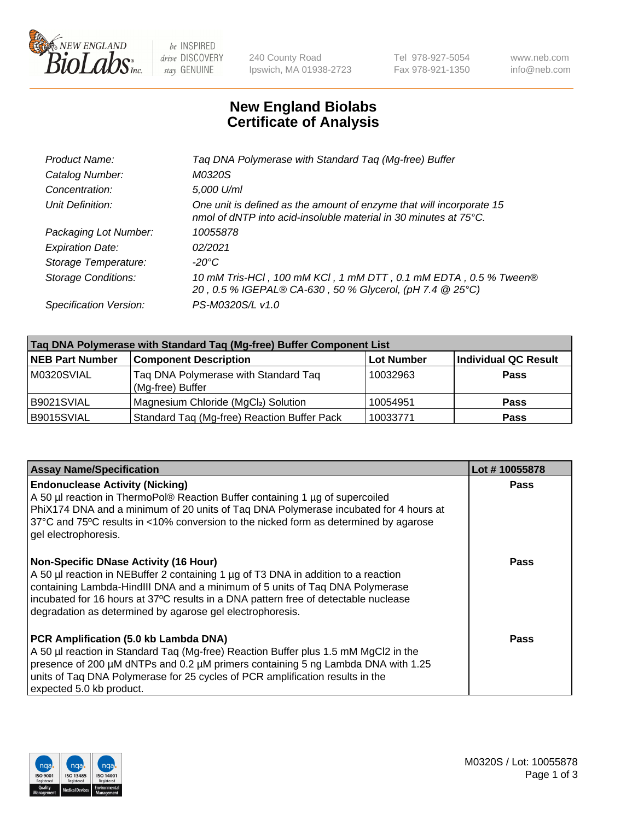

 $be$  INSPIRED drive DISCOVERY stay GENUINE

240 County Road Ipswich, MA 01938-2723 Tel 978-927-5054 Fax 978-921-1350 www.neb.com info@neb.com

## **New England Biolabs Certificate of Analysis**

| Taq DNA Polymerase with Standard Taq (Mg-free) Buffer                                                                                    |
|------------------------------------------------------------------------------------------------------------------------------------------|
| M0320S                                                                                                                                   |
| 5,000 U/ml                                                                                                                               |
| One unit is defined as the amount of enzyme that will incorporate 15<br>nmol of dNTP into acid-insoluble material in 30 minutes at 75°C. |
| 10055878                                                                                                                                 |
| 02/2021                                                                                                                                  |
| $-20^{\circ}$ C                                                                                                                          |
| 10 mM Tris-HCl, 100 mM KCl, 1 mM DTT, 0.1 mM EDTA, 0.5 % Tween®<br>20, 0.5 % IGEPAL® CA-630, 50 % Glycerol, (pH 7.4 @ 25°C)              |
| PS-M0320S/L v1.0                                                                                                                         |
|                                                                                                                                          |

| Taq DNA Polymerase with Standard Taq (Mg-free) Buffer Component List |                                                          |                   |                             |  |  |
|----------------------------------------------------------------------|----------------------------------------------------------|-------------------|-----------------------------|--|--|
| <b>NEB Part Number</b>                                               | <b>Component Description</b>                             | <b>Lot Number</b> | <b>Individual QC Result</b> |  |  |
| M0320SVIAL                                                           | Tag DNA Polymerase with Standard Tag<br>(Mg-free) Buffer | 10032963          | <b>Pass</b>                 |  |  |
| B9021SVIAL                                                           | Magnesium Chloride (MgCl2) Solution                      | 10054951          | <b>Pass</b>                 |  |  |
| B9015SVIAL                                                           | Standard Taq (Mg-free) Reaction Buffer Pack              | 10033771          | <b>Pass</b>                 |  |  |

| <b>Assay Name/Specification</b>                                                                                                                                                                                                                                                                                                                                        | Lot #10055878 |
|------------------------------------------------------------------------------------------------------------------------------------------------------------------------------------------------------------------------------------------------------------------------------------------------------------------------------------------------------------------------|---------------|
| <b>Endonuclease Activity (Nicking)</b><br>A 50 µl reaction in ThermoPol® Reaction Buffer containing 1 µg of supercoiled<br>PhiX174 DNA and a minimum of 20 units of Taq DNA Polymerase incubated for 4 hours at<br>37°C and 75°C results in <10% conversion to the nicked form as determined by agarose<br>gel electrophoresis.                                        | <b>Pass</b>   |
| <b>Non-Specific DNase Activity (16 Hour)</b><br>A 50 µl reaction in NEBuffer 2 containing 1 µg of T3 DNA in addition to a reaction<br>containing Lambda-HindIII DNA and a minimum of 5 units of Taq DNA Polymerase<br>incubated for 16 hours at 37°C results in a DNA pattern free of detectable nuclease<br>degradation as determined by agarose gel electrophoresis. | Pass          |
| PCR Amplification (5.0 kb Lambda DNA)<br>A 50 µl reaction in Standard Taq (Mg-free) Reaction Buffer plus 1.5 mM MgCl2 in the<br>presence of 200 μM dNTPs and 0.2 μM primers containing 5 ng Lambda DNA with 1.25<br>units of Tag DNA Polymerase for 25 cycles of PCR amplification results in the<br>expected 5.0 kb product.                                          | Pass          |

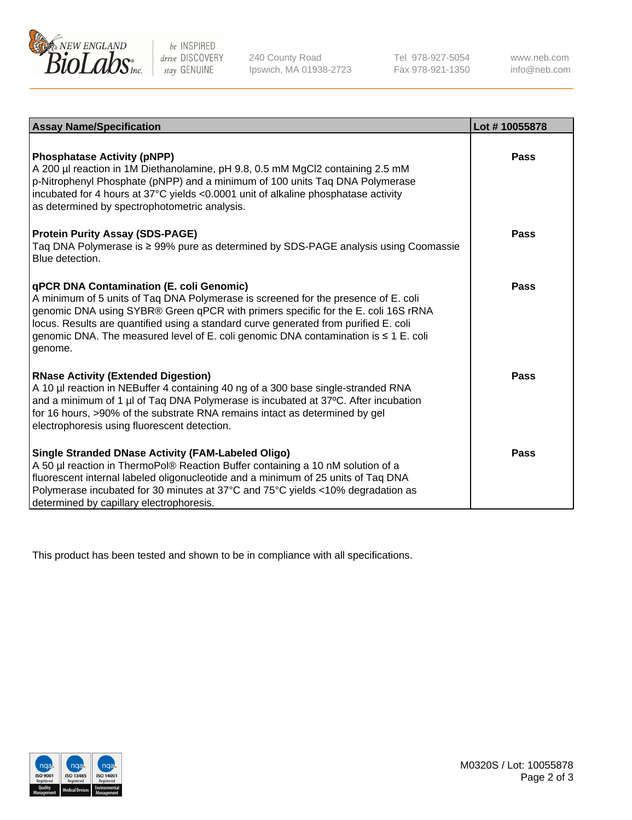

 $be$  INSPIRED drive DISCOVERY stay GENUINE

240 County Road Ipswich, MA 01938-2723 Tel 978-927-5054 Fax 978-921-1350 www.neb.com info@neb.com

| <b>Assay Name/Specification</b>                                                                                                                                                                                                                                                                                                                                                                               | Lot #10055878 |
|---------------------------------------------------------------------------------------------------------------------------------------------------------------------------------------------------------------------------------------------------------------------------------------------------------------------------------------------------------------------------------------------------------------|---------------|
| <b>Phosphatase Activity (pNPP)</b><br>A 200 µl reaction in 1M Diethanolamine, pH 9.8, 0.5 mM MgCl2 containing 2.5 mM<br>p-Nitrophenyl Phosphate (pNPP) and a minimum of 100 units Taq DNA Polymerase<br>incubated for 4 hours at 37°C yields <0.0001 unit of alkaline phosphatase activity<br>as determined by spectrophotometric analysis.                                                                   | Pass          |
| <b>Protein Purity Assay (SDS-PAGE)</b><br>Taq DNA Polymerase is ≥ 99% pure as determined by SDS-PAGE analysis using Coomassie<br>Blue detection.                                                                                                                                                                                                                                                              | Pass          |
| qPCR DNA Contamination (E. coli Genomic)<br>A minimum of 5 units of Taq DNA Polymerase is screened for the presence of E. coli<br>genomic DNA using SYBR® Green qPCR with primers specific for the E. coli 16S rRNA<br>locus. Results are quantified using a standard curve generated from purified E. coli<br>genomic DNA. The measured level of E. coli genomic DNA contamination is ≤ 1 E. coli<br>genome. | Pass          |
| <b>RNase Activity (Extended Digestion)</b><br>A 10 µl reaction in NEBuffer 4 containing 40 ng of a 300 base single-stranded RNA<br>and a minimum of 1 µl of Taq DNA Polymerase is incubated at 37°C. After incubation<br>for 16 hours, >90% of the substrate RNA remains intact as determined by gel<br>electrophoresis using fluorescent detection.                                                          | Pass          |
| <b>Single Stranded DNase Activity (FAM-Labeled Oligo)</b><br>A 50 µl reaction in ThermoPol® Reaction Buffer containing a 10 nM solution of a<br>fluorescent internal labeled oligonucleotide and a minimum of 25 units of Taq DNA<br>Polymerase incubated for 30 minutes at 37°C and 75°C yields <10% degradation as<br>determined by capillary electrophoresis.                                              | Pass          |

This product has been tested and shown to be in compliance with all specifications.